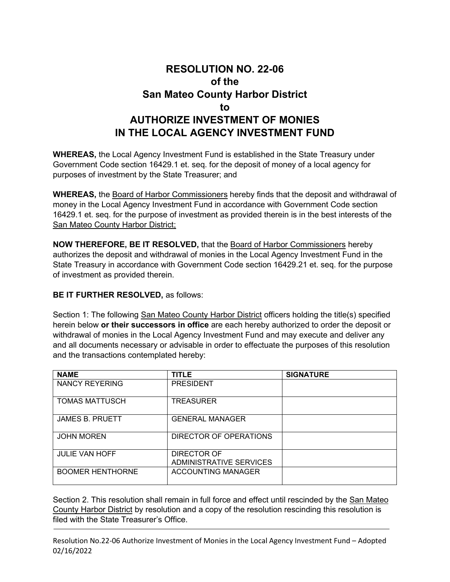## **RESOLUTION NO. 22-06 of the San Mateo County Harbor District to AUTHORIZE INVESTMENT OF MONIES IN THE LOCAL AGENCY INVESTMENT FUND**

**WHEREAS,** the Local Agency Investment Fund is established in the State Treasury under Government Code section 16429.1 et. seq. for the deposit of money of a local agency for purposes of investment by the State Treasurer; and

**WHEREAS,** the Board of Harbor Commissioners hereby finds that the deposit and withdrawal of money in the Local Agency Investment Fund in accordance with Government Code section 16429.1 et. seq. for the purpose of investment as provided therein is in the best interests of the San Mateo County Harbor District;

**NOW THEREFORE, BE IT RESOLVED,** that the Board of Harbor Commissioners hereby authorizes the deposit and withdrawal of monies in the Local Agency Investment Fund in the State Treasury in accordance with Government Code section 16429.21 et. seq. for the purpose of investment as provided therein.

## **BE IT FURTHER RESOLVED,** as follows:

Section 1: The following San Mateo County Harbor District officers holding the title(s) specified herein below **or their successors in office** are each hereby authorized to order the deposit or withdrawal of monies in the Local Agency Investment Fund and may execute and deliver any and all documents necessary or advisable in order to effectuate the purposes of this resolution and the transactions contemplated hereby:

| <b>NAME</b>             | <b>TITLE</b>                           | <b>SIGNATURE</b> |
|-------------------------|----------------------------------------|------------------|
| NANCY REYERING          | <b>PRESIDENT</b>                       |                  |
| <b>TOMAS MATTUSCH</b>   | <b>TREASURER</b>                       |                  |
| <b>JAMES B. PRUETT</b>  | <b>GENERAL MANAGER</b>                 |                  |
| <b>JOHN MOREN</b>       | DIRECTOR OF OPERATIONS                 |                  |
| <b>JULIE VAN HOFF</b>   | DIRECTOR OF<br>ADMINISTRATIVE SERVICES |                  |
| <b>BOOMER HENTHORNE</b> | ACCOUNTING MANAGER                     |                  |

Section 2. This resolution shall remain in full force and effect until rescinded by the San Mateo County Harbor District by resolution and a copy of the resolution rescinding this resolution is filed with the State Treasurer's Office.